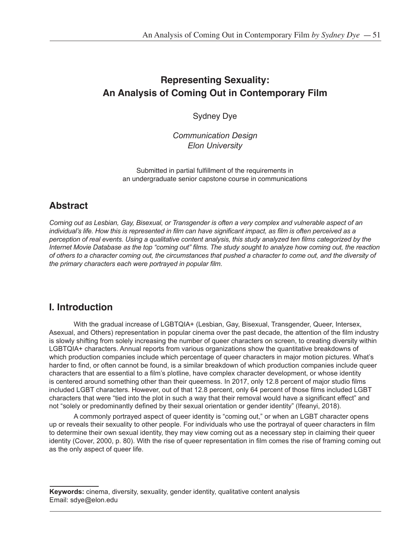# **Representing Sexuality: An Analysis of Coming Out in Contemporary Film**

Sydney Dye

*Communication Design Elon University*

Submitted in partial fulfillment of the requirements in an undergraduate senior capstone course in communications

# **Abstract**

*Coming out as Lesbian, Gay, Bisexual, or Transgender is often a very complex and vulnerable aspect of an individual's life. How this is represented in film can have significant impact, as film is often perceived as a perception of real events. Using a qualitative content analysis, this study analyzed ten films categorized by the Internet Movie Database as the top "coming out" films. The study sought to analyze how coming out, the reaction of others to a character coming out, the circumstances that pushed a character to come out, and the diversity of the primary characters each were portrayed in popular film.* 

# **I. Introduction**

With the gradual increase of LGBTQIA+ (Lesbian, Gay, Bisexual, Transgender, Queer, Intersex, Asexual, and Others) representation in popular cinema over the past decade, the attention of the film industry is slowly shifting from solely increasing the number of queer characters on screen, to creating diversity within LGBTQIA+ characters. Annual reports from various organizations show the quantitative breakdowns of which production companies include which percentage of queer characters in major motion pictures. What's harder to find, or often cannot be found, is a similar breakdown of which production companies include queer characters that are essential to a film's plotline, have complex character development, or whose identity is centered around something other than their queerness. In 2017, only 12.8 percent of major studio films included LGBT characters. However, out of that 12.8 percent, only 64 percent of those films included LGBT characters that were "tied into the plot in such a way that their removal would have a significant effect" and not "solely or predominantly defined by their sexual orientation or gender identity" (Ifeanyi, 2018).

A commonly portrayed aspect of queer identity is "coming out," or when an LGBT character opens up or reveals their sexuality to other people. For individuals who use the portrayal of queer characters in film to determine their own sexual identity, they may view coming out as a necessary step in claiming their queer identity (Cover, 2000, p. 80). With the rise of queer representation in film comes the rise of framing coming out as the only aspect of queer life.

**Keywords:** cinema, diversity, sexuality, gender identity, qualitative content analysis Email: sdye@elon.edu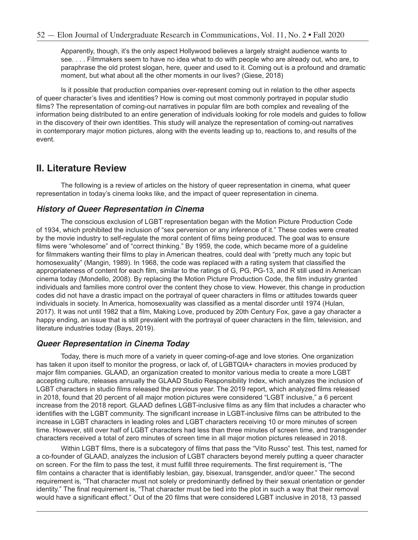Apparently, though, it's the only aspect Hollywood believes a largely straight audience wants to see. . . . Filmmakers seem to have no idea what to do with people who are already out, who are, to paraphrase the old protest slogan, here, queer and used to it. Coming out is a profound and dramatic moment, but what about all the other moments in our lives? (Giese, 2018)

Is it possible that production companies over-represent coming out in relation to the other aspects of queer character's lives and identities? How is coming out most commonly portrayed in popular studio films? The representation of coming-out narratives in popular film are both complex and revealing of the information being distributed to an entire generation of individuals looking for role models and guides to follow in the discovery of their own identities. This study will analyze the representation of coming-out narratives in contemporary major motion pictures, along with the events leading up to, reactions to, and results of the event.

## **II. Literature Review**

The following is a review of articles on the history of queer representation in cinema, what queer representation in today's cinema looks like, and the impact of queer representation in cinema.

#### *History of Queer Representation in Cinema*

The conscious exclusion of LGBT representation began with the Motion Picture Production Code of 1934, which prohibited the inclusion of "sex perversion or any inference of it." These codes were created by the movie industry to self-regulate the moral content of films being produced. The goal was to ensure films were "wholesome" and of "correct thinking." By 1959, the code, which became more of a guideline for filmmakers wanting their films to play in American theatres, could deal with "pretty much any topic but homosexuality" (Mangin, 1989). In 1968, the code was replaced with a rating system that classified the appropriateness of content for each film, similar to the ratings of G, PG, PG-13, and R still used in American cinema today (Mondello, 2008). By replacing the Motion Picture Production Code, the film industry granted individuals and families more control over the content they chose to view. However, this change in production codes did not have a drastic impact on the portrayal of queer characters in films or attitudes towards queer individuals in society. In America, homosexuality was classified as a mental disorder until 1974 (Hulan, 2017). It was not until 1982 that a film, Making Love, produced by 20th Century Fox, gave a gay character a happy ending, an issue that is still prevalent with the portrayal of queer characters in the film, television, and literature industries today (Bays, 2019).

#### *Queer Representation in Cinema Today*

Today, there is much more of a variety in queer coming-of-age and love stories. One organization has taken it upon itself to monitor the progress, or lack of, of LGBTQIA+ characters in movies produced by major film companies. GLAAD, an organization created to monitor various media to create a more LGBT accepting culture, releases annually the GLAAD Studio Responsibility Index, which analyzes the inclusion of LGBT characters in studio films released the previous year. The 2019 report, which analyzed films released in 2018, found that 20 percent of all major motion pictures were considered "LGBT inclusive," a 6 percent increase from the 2018 report. GLAAD defines LGBT-inclusive films as any film that includes a character who identifies with the LGBT community. The significant increase in LGBT-inclusive films can be attributed to the increase in LGBT characters in leading roles and LGBT characters receiving 10 or more minutes of screen time. However, still over half of LGBT characters had less than three minutes of screen time, and transgender characters received a total of zero minutes of screen time in all major motion pictures released in 2018.

Within LGBT films, there is a subcategory of films that pass the "Vito Russo" test. This test, named for a co-founder of GLAAD, analyzes the inclusion of LGBT characters beyond merely putting a queer character on screen. For the film to pass the test, it must fulfill three requirements. The first requirement is, "The film contains a character that is identifiably lesbian, gay, bisexual, transgender, and/or queer." The second requirement is, "That character must not solely or predominantly defined by their sexual orientation or gender identity." The final requirement is, "That character must be tied into the plot in such a way that their removal would have a significant effect." Out of the 20 films that were considered LGBT inclusive in 2018, 13 passed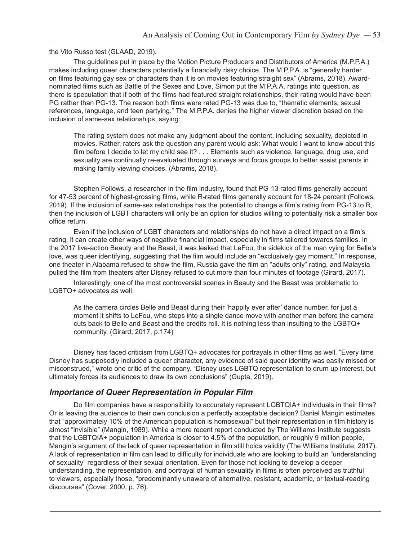the Vito Russo test (GLAAD, 2019).

The guidelines put in place by the Motion Picture Producers and Distributors of America (M.P.P.A.) makes including queer characters potentially a financially risky choice. The M.P.P.A. is "generally harder on films featuring gay sex or characters than it is on movies featuring straight sex" (Abrams, 2018). Awardnominated films such as Battle of the Sexes and Love, Simon put the M.P.A.A. ratings into question, as there is speculation that if both of the films had featured straight relationships, their rating would have been PG rather than PG-13. The reason both films were rated PG-13 was due to, "thematic elements, sexual references, language, and teen partying." The M.P.P.A. denies the higher viewer discretion based on the inclusion of same-sex relationships, saying:

The rating system does not make any judgment about the content, including sexuality, depicted in movies. Rather, raters ask the question any parent would ask: What would I want to know about this film before I decide to let my child see it? . . . Elements such as violence, language, drug use, and sexuality are continually re-evaluated through surveys and focus groups to better assist parents in making family viewing choices. (Abrams, 2018).

Stephen Follows, a researcher in the film industry, found that PG-13 rated films generally account for 47-53 percent of highest-grossing films, while R-rated films generally account for 18-24 percent (Follows, 2019). If the inclusion of same-sex relationships has the potential to change a film's rating from PG-13 to R, then the inclusion of LGBT characters will only be an option for studios willing to potentially risk a smaller box office return.

Even if the inclusion of LGBT characters and relationships do not have a direct impact on a film's rating, it can create other ways of negative financial impact, especially in films tailored towards families. In the 2017 live-action Beauty and the Beast, it was leaked that LeFou, the sidekick of the man vying for Belle's love, was queer identifying, suggesting that the film would include an "exclusively gay moment." In response, one theater in Alabama refused to show the film, Russia gave the film an "adults only" rating, and Malaysia pulled the film from theaters after Disney refused to cut more than four minutes of footage (Girard, 2017).

Interestingly, one of the most controversial scenes in Beauty and the Beast was problematic to LGBTQ+ advocates as well:

As the camera circles Belle and Beast during their 'happily ever after' dance number, for just a moment it shifts to LeFou, who steps into a single dance move with another man before the camera cuts back to Belle and Beast and the credits roll. It is nothing less than insulting to the LGBTQ+ community. (Girard, 2017, p.174)

Disney has faced criticism from LGBTQ+ advocates for portrayals in other films as well. "Every time Disney has supposedly included a queer character, any evidence of said queer identity was easily missed or misconstrued," wrote one critic of the company. "Disney uses LGBTQ representation to drum up interest, but ultimately forces its audiences to draw its own conclusions" (Gupta, 2019).

#### *Importance of Queer Representation in Popular Film*

Do film companies have a responsibility to accurately represent LGBTQIA+ individuals in their films? Or is leaving the audience to their own conclusion a perfectly acceptable decision? Daniel Mangin estimates that "approximately 10% of the American population is homosexual" but their representation in film history is almost "invisible" (Mangin, 1989). While a more recent report conducted by The Williams Institute suggests that the LGBTQIA+ population in America is closer to 4.5% of the population, or roughly 9 million people, Mangin's argument of the lack of queer representation in film still holds validity (The Williams Institute, 2017). A lack of representation in film can lead to difficulty for individuals who are looking to build an "understanding of sexuality" regardless of their sexual orientation. Even for those not looking to develop a deeper understanding, the representation, and portrayal of human sexuality in films is often perceived as truthful to viewers, especially those, "predominantly unaware of alternative, resistant, academic, or textual-reading discourses" (Cover, 2000, p. 76).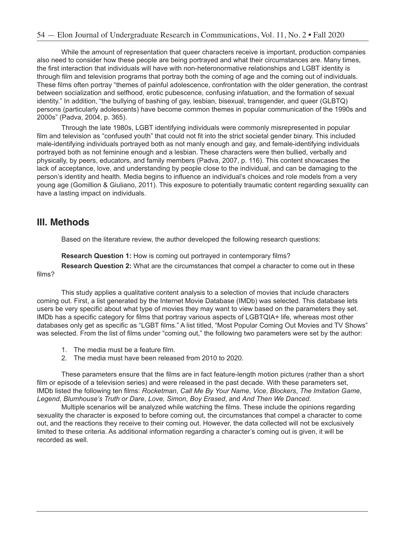While the amount of representation that queer characters receive is important, production companies also need to consider how these people are being portrayed and what their circumstances are. Many times, the first interaction that individuals will have with non-heteronormative relationships and LGBT identity is through film and television programs that portray both the coming of age and the coming out of individuals. These films often portray "themes of painful adolescence, confrontation with the older generation, the contrast between socialization and selfhood, erotic pubescence, confusing infatuation, and the formation of sexual identity." In addition, "the bullying of bashing of gay, lesbian, bisexual, transgender, and queer (GLBTQ) persons (particularly adolescents) have become common themes in popular communication of the 1990s and 2000s" (Padva, 2004, p. 365).

Through the late 1980s, LGBT identifying individuals were commonly misrepresented in popular film and television as "confused youth" that could not fit into the strict societal gender binary. This included male-identifying individuals portrayed both as not manly enough and gay, and female-identifying individuals portrayed both as not feminine enough and a lesbian. These characters were then bullied, verbally and physically, by peers, educators, and family members (Padva, 2007, p. 116). This content showcases the lack of acceptance, love, and understanding by people close to the individual, and can be damaging to the person's identity and health. Media begins to influence an individual's choices and role models from a very young age (Gomillion & Giuliano, 2011). This exposure to potentially traumatic content regarding sexuality can have a lasting impact on individuals.

## **III. Methods**

Based on the literature review, the author developed the following research questions:

**Research Question 1:** How is coming out portrayed in contemporary films? **Research Question 2:** What are the circumstances that compel a character to come out in these

films?

This study applies a qualitative content analysis to a selection of movies that include characters coming out. First, a list generated by the Internet Movie Database (IMDb) was selected. This database lets users be very specific about what type of movies they may want to view based on the parameters they set. IMDb has a specific category for films that portray various aspects of LGBTQIA+ life, whereas most other databases only get as specific as "LGBT films." A list titled, "Most Popular Coming Out Movies and TV Shows" was selected. From the list of films under "coming out," the following two parameters were set by the author:

- 1. The media must be a feature film.
- 2. The media must have been released from 2010 to 2020.

These parameters ensure that the films are in fact feature-length motion pictures (rather than a short film or episode of a television series) and were released in the past decade. With these parameters set, IMDb listed the following ten films: *Rocketman*, *Call Me By Your Name*, *Vice*, *Blockers*, *The Imitation Game*, *Legend*, *Blumhouse's Truth or Dare*, *Love, Simon*, *Boy Erased*, and *And Then We Danced*.

Multiple scenarios will be analyzed while watching the films. These include the opinions regarding sexuality the character is exposed to before coming out, the circumstances that compel a character to come out, and the reactions they receive to their coming out. However, the data collected will not be exclusively limited to these criteria. As additional information regarding a character's coming out is given, it will be recorded as well.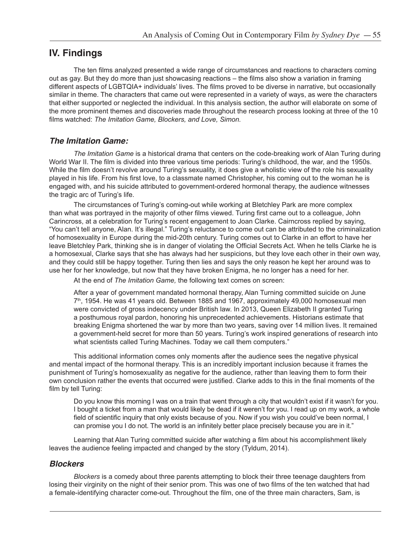## **IV. Findings**

The ten films analyzed presented a wide range of circumstances and reactions to characters coming out as gay. But they do more than just showcasing reactions – the films also show a variation in framing different aspects of LGBTQIA+ individuals' lives. The films proved to be diverse in narrative, but occasionally similar in theme. The characters that came out were represented in a variety of ways, as were the characters that either supported or neglected the individual. In this analysis section, the author will elaborate on some of the more prominent themes and discoveries made throughout the research process looking at three of the 10 films watched: *The Imitation Game, Blockers, and Love, Simon.*

#### *The Imitation Game:*

*The Imitation Game* is a historical drama that centers on the code-breaking work of Alan Turing during World War II. The film is divided into three various time periods: Turing's childhood, the war, and the 1950s. While the film doesn't revolve around Turing's sexuality, it does give a wholistic view of the role his sexuality played in his life. From his first love, to a classmate named Christopher, his coming out to the woman he is engaged with, and his suicide attributed to government-ordered hormonal therapy, the audience witnesses the tragic arc of Turing's life.

The circumstances of Turing's coming-out while working at Bletchley Park are more complex than what was portrayed in the majority of other films viewed. Turing first came out to a colleague, John Carincross, at a celebration for Turing's recent engagement to Joan Clarke. Cairncross replied by saying, "You can't tell anyone, Alan. It's illegal." Turing's reluctance to come out can be attributed to the criminalization of homosexuality in Europe during the mid-20th century. Turing comes out to Clarke in an effort to have her leave Bletchley Park, thinking she is in danger of violating the Official Secrets Act. When he tells Clarke he is a homosexual, Clarke says that she has always had her suspicions, but they love each other in their own way, and they could still be happy together. Turing then lies and says the only reason he kept her around was to use her for her knowledge, but now that they have broken Enigma, he no longer has a need for her.

At the end of *The Imitation Game,* the following text comes on screen:

After a year of government mandated hormonal therapy, Alan Turning committed suicide on June  $7<sup>th</sup>$ , 1954. He was 41 years old. Between 1885 and 1967, approximately 49,000 homosexual men were convicted of gross indecency under British law. In 2013, Queen Elizabeth II granted Turing a posthumous royal pardon, honoring his unprecedented achievements. Historians estimate that breaking Enigma shortened the war by more than two years, saving over 14 million lives. It remained a government-held secret for more than 50 years. Turing's work inspired generations of research into what scientists called Turing Machines. Today we call them computers."

This additional information comes only moments after the audience sees the negative physical and mental impact of the hormonal therapy. This is an incredibly important inclusion because it frames the punishment of Turing's homosexuality as negative for the audience, rather than leaving them to form their own conclusion rather the events that occurred were justified. Clarke adds to this in the final moments of the film by tell Turing:

Do you know this morning I was on a train that went through a city that wouldn't exist if it wasn't for you. I bought a ticket from a man that would likely be dead if it weren't for you. I read up on my work, a whole field of scientific inquiry that only exists because of you. Now if you wish you could've been normal, I can promise you I do not. The world is an infinitely better place precisely because you are in it."

Learning that Alan Turing committed suicide after watching a film about his accomplishment likely leaves the audience feeling impacted and changed by the story (Tyldum, 2014).

#### *Blockers*

*Blockers* is a comedy about three parents attempting to block their three teenage daughters from losing their virginity on the night of their senior prom. This was one of two films of the ten watched that had a female-identifying character come-out. Throughout the film, one of the three main characters, Sam, is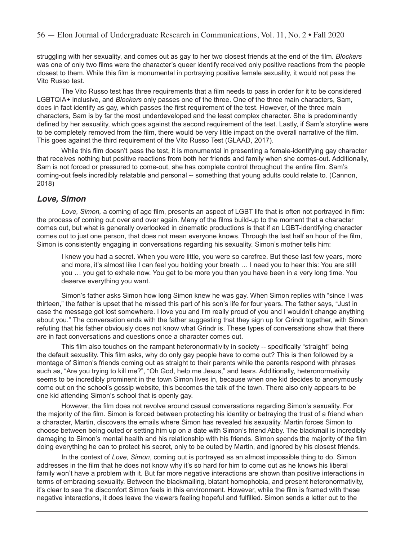struggling with her sexuality, and comes out as gay to her two closest friends at the end of the film. *Blockers* was one of only two films were the character's queer identify received only positive reactions from the people closest to them. While this film is monumental in portraying positive female sexuality, it would not pass the Vito Russo test.

The Vito Russo test has three requirements that a film needs to pass in order for it to be considered LGBTQIA+ inclusive, and *Blockers* only passes one of the three. One of the three main characters, Sam, does in fact identify as gay, which passes the first requirement of the test. However, of the three main characters, Sam is by far the most underdeveloped and the least complex character. She is predominantly defined by her sexuality, which goes against the second requirement of the test. Lastly, if Sam's storyline were to be completely removed from the film, there would be very little impact on the overall narrative of the film. This goes against the third requirement of the Vito Russo Test (GLAAD, 2017).

While this film doesn't pass the test, it is monumental in presenting a female-identifying gay character that receives nothing but positive reactions from both her friends and family when she comes-out. Additionally, Sam is not forced or pressured to come-out, she has complete control throughout the entire film. Sam's coming-out feels incredibly relatable and personal -- something that young adults could relate to. (Cannon, 2018)

#### *Love, Simon*

*Love, Simon,* a coming of age film, presents an aspect of LGBT life that is often not portrayed in film: the process of coming out over and over again. Many of the films build-up to the moment that a character comes out, but what is generally overlooked in cinematic productions is that if an LGBT-identifying character comes out to just one person, that does not mean everyone knows. Through the last half an hour of the film, Simon is consistently engaging in conversations regarding his sexuality. Simon's mother tells him:

I knew you had a secret. When you were little, you were so carefree. But these last few years, more and more, it's almost like I can feel you holding your breath … I need you to hear this: You are still you … you get to exhale now. You get to be more you than you have been in a very long time. You deserve everything you want.

Simon's father asks Simon how long Simon knew he was gay. When Simon replies with "since I was thirteen," the father is upset that he missed this part of his son's life for four years. The father says, "Just in case the message got lost somewhere. I love you and I'm really proud of you and I wouldn't change anything about you." The conversation ends with the father suggesting that they sign up for Grindr together, with Simon refuting that his father obviously does not know what Grindr is. These types of conversations show that there are in fact conversations and questions once a character comes out.

This film also touches on the rampant heteronormativity in society -- specifically "straight" being the default sexuality. This film asks, why do only gay people have to come out? This is then followed by a montage of Simon's friends coming out as straight to their parents while the parents respond with phrases such as, "Are you trying to kill me?", "Oh God, help me Jesus," and tears. Additionally, heteronormativity seems to be incredibly prominent in the town Simon lives in, because when one kid decides to anonymously come out on the school's gossip website, this becomes the talk of the town. There also only appears to be one kid attending Simon's school that is openly gay.

However, the film does not revolve around casual conversations regarding Simon's sexuality. For the majority of the film. Simon is forced between protecting his identity or betraying the trust of a friend when a character, Martin, discovers the emails where Simon has revealed his sexuality. Martin forces Simon to choose between being outed or setting him up on a date with Simon's friend Abby. The blackmail is incredibly damaging to Simon's mental health and his relationship with his friends. Simon spends the majority of the film doing everything he can to protect his secret, only to be outed by Martin, and ignored by his closest friends.

In the context of *Love, Simon*, coming out is portrayed as an almost impossible thing to do. Simon addresses in the film that he does not know why it's so hard for him to come out as he knows his liberal family won't have a problem with it. But far more negative interactions are shown than positive interactions in terms of embracing sexuality. Between the blackmailing, blatant homophobia, and present heteronormativity, it's clear to see the discomfort Simon feels in this environment. However, while the film is framed with these negative interactions, it does leave the viewers feeling hopeful and fulfilled. Simon sends a letter out to the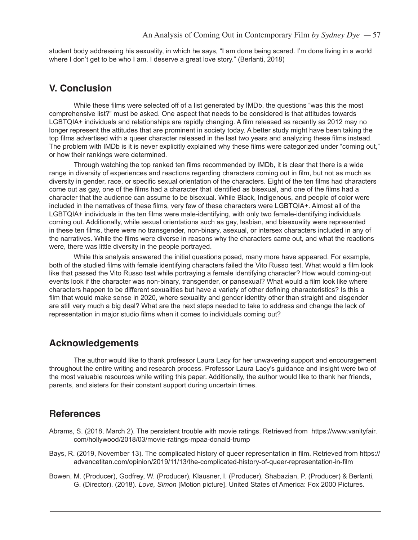student body addressing his sexuality, in which he says, "I am done being scared. I'm done living in a world where I don't get to be who I am. I deserve a great love story." (Berlanti, 2018)

### **V. Conclusion**

While these films were selected off of a list generated by IMDb, the questions "was this the most comprehensive list?" must be asked. One aspect that needs to be considered is that attitudes towards LGBTQIA+ individuals and relationships are rapidly changing. A film released as recently as 2012 may no longer represent the attitudes that are prominent in society today. A better study might have been taking the top films advertised with a queer character released in the last two years and analyzing these films instead. The problem with IMDb is it is never explicitly explained why these films were categorized under "coming out," or how their rankings were determined.

Through watching the top ranked ten films recommended by IMDb, it is clear that there is a wide range in diversity of experiences and reactions regarding characters coming out in film, but not as much as diversity in gender, race, or specific sexual orientation of the characters. Eight of the ten films had characters come out as gay, one of the films had a character that identified as bisexual, and one of the films had a character that the audience can assume to be bisexual. While Black, Indigenous, and people of color were included in the narratives of these films, very few of these characters were LGBTQIA+. Almost all of the LGBTQIA+ individuals in the ten films were male-identifying, with only two female-identifying individuals coming out. Additionally, while sexual orientations such as gay, lesbian, and bisexuality were represented in these ten films, there were no transgender, non-binary, asexual, or intersex characters included in any of the narratives. While the films were diverse in reasons why the characters came out, and what the reactions were, there was little diversity in the people portrayed.

While this analysis answered the initial questions posed, many more have appeared. For example, both of the studied films with female identifying characters failed the Vito Russo test. What would a film look like that passed the Vito Russo test while portraying a female identifying character? How would coming-out events look if the character was non-binary, transgender, or pansexual? What would a film look like where characters happen to be different sexualities but have a variety of other defining characteristics? Is this a film that would make sense in 2020, where sexuality and gender identity other than straight and cisgender are still very much a big deal? What are the next steps needed to take to address and change the lack of representation in major studio films when it comes to individuals coming out?

## **Acknowledgements**

The author would like to thank professor Laura Lacy for her unwavering support and encouragement throughout the entire writing and research process. Professor Laura Lacy's guidance and insight were two of the most valuable resources while writing this paper. Additionally, the author would like to thank her friends, parents, and sisters for their constant support during uncertain times.

## **References**

- Abrams, S. (2018, March 2). The persistent trouble with movie ratings. Retrieved from https://www.vanityfair. com/hollywood/2018/03/movie-ratings-mpaa-donald-trump
- Bays, R. (2019, November 13). The complicated history of queer representation in film. Retrieved from https:// advancetitan.com/opinion/2019/11/13/the-complicated-history-of-queer-representation-in-film
- Bowen, M. (Producer), Godfrey, W. (Producer), Klausner, I. (Producer), Shabazian, P. (Producer) & Berlanti, G. (Director). (2018). *Love, Simon* [Motion picture]. United States of America: Fox 2000 Pictures.